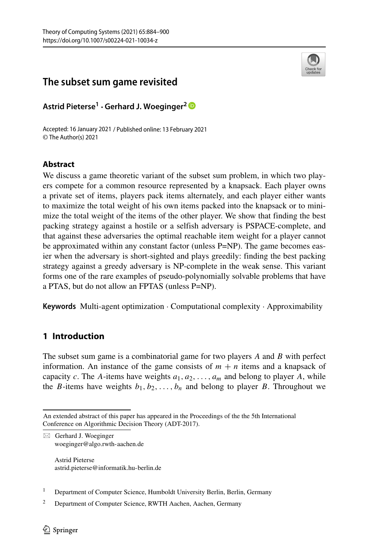

# **The subset sum game revisited**

**Astrid Pieterse1 ·Gerhard J. Woeginger<sup>2</sup>**

Accepted: 16 January 2021 / Published online: 13 February 2021 © The Author(s) 2021

### **Abstract**

We discuss a game theoretic variant of the subset sum problem, in which two players compete for a common resource represented by a knapsack. Each player owns a private set of items, players pack items alternately, and each player either wants to maximize the total weight of his own items packed into the knapsack or to minimize the total weight of the items of the other player. We show that finding the best packing strategy against a hostile or a selfish adversary is PSPACE-complete, and that against these adversaries the optimal reachable item weight for a player cannot be approximated within any constant factor (unless P=NP). The game becomes easier when the adversary is short-sighted and plays greedily: finding the best packing strategy against a greedy adversary is NP-complete in the weak sense. This variant forms one of the rare examples of pseudo-polynomially solvable problems that have a PTAS, but do not allow an FPTAS (unless P=NP).

**Keywords** Multi-agent optimization · Computational complexity · Approximability

## **1 Introduction**

The subset sum game is a combinatorial game for two players *A* and *B* with perfect information. An instance of the game consists of  $m + n$  items and a knapsack of capacity *c*. The *A*-items have weights  $a_1, a_2, \ldots, a_m$  and belong to player *A*, while the *B*-items have weights  $b_1, b_2, \ldots, b_n$  and belong to player *B*. Throughout we

 $\boxtimes$  Gerhard J. Woeginger [woeginger@algo.rwth-aachen.de](mailto: woeginger@algo.rwth-aachen.de)

> Astrid Pieterse [astrid.pieterse@informatik.hu-berlin.de](mailto: astrid.pieterse@informatik.hu-berlin.de)

<sup>1</sup> Department of Computer Science, Humboldt University Berlin, Berlin, Germany

An extended abstract of this paper has appeared in the Proceedings of the the 5th International Conference on Algorithmic Decision Theory (ADT-2017).

<sup>&</sup>lt;sup>2</sup> Department of Computer Science, RWTH Aachen, Aachen, Germany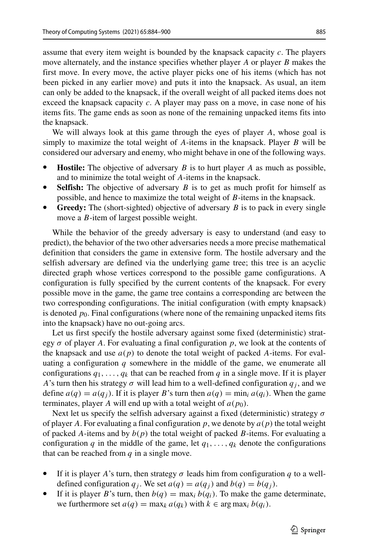assume that every item weight is bounded by the knapsack capacity *c*. The players move alternately, and the instance specifies whether player *A* or player *B* makes the first move. In every move, the active player picks one of his items (which has not been picked in any earlier move) and puts it into the knapsack. As usual, an item can only be added to the knapsack, if the overall weight of all packed items does not exceed the knapsack capacity *c*. A player may pass on a move, in case none of his items fits. The game ends as soon as none of the remaining unpacked items fits into the knapsack.

We will always look at this game through the eyes of player *A*, whose goal is simply to maximize the total weight of *A*-items in the knapsack. Player *B* will be considered our adversary and enemy, who might behave in one of the following ways.

- **Hostile:** The objective of adversary *B* is to hurt player *A* as much as possible, and to minimize the total weight of *A*-items in the knapsack.
- **Selfish:** The objective of adversary *B* is to get as much profit for himself as possible, and hence to maximize the total weight of *B*-items in the knapsack.
- **Greedy:** The (short-sighted) objective of adversary *B* is to pack in every single move a *B*-item of largest possible weight.

While the behavior of the greedy adversary is easy to understand (and easy to predict), the behavior of the two other adversaries needs a more precise mathematical definition that considers the game in extensive form. The hostile adversary and the selfish adversary are defined via the underlying game tree; this tree is an acyclic directed graph whose vertices correspond to the possible game configurations. A configuration is fully specified by the current contents of the knapsack. For every possible move in the game, the game tree contains a corresponding arc between the two corresponding configurations. The initial configuration (with empty knapsack) is denoted  $p_0$ . Final configurations (where none of the remaining unpacked items fits into the knapsack) have no out-going arcs.

Let us first specify the hostile adversary against some fixed (deterministic) strategy  $\sigma$  of player A. For evaluating a final configuration  $p$ , we look at the contents of the knapsack and use  $a(p)$  to denote the total weight of packed A-items. For evaluating a configuration *q* somewhere in the middle of the game, we enumerate all configurations  $q_1, \ldots, q_k$  that can be reached from  $q$  in a single move. If it is player *A*'s turn then his strategy  $\sigma$  will lead him to a well-defined configuration  $q_j$ , and we define  $a(q) = a(q_i)$ . If it is player *B*'s turn then  $a(q) = \min_i a(q_i)$ . When the game terminates, player *A* will end up with a total weight of  $a(p_0)$ .

Next let us specify the selfish adversary against a fixed (deterministic) strategy *σ* of player *A*. For evaluating a final configuration  $p$ , we denote by  $a(p)$  the total weight of packed *A*-items and by *b(p)* the total weight of packed *B*-items. For evaluating a configuration *q* in the middle of the game, let  $q_1, \ldots, q_k$  denote the configurations that can be reached from  $q$  in a single move.

- If it is player *A*'s turn, then strategy  $\sigma$  leads him from configuration *q* to a welldefined configuration  $q_j$ . We set  $a(q) = a(q_j)$  and  $b(q) = b(q_j)$ .
- If it is player *B*'s turn, then  $b(q) = \max_i b(q_i)$ . To make the game determinate, we furthermore set  $a(q) = \max_k a(q_k)$  with  $k \in \arg \max_i b(q_i)$ .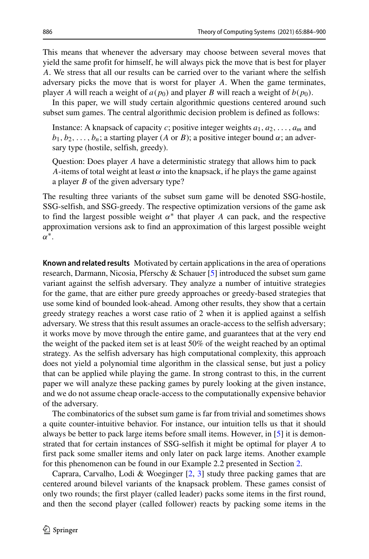This means that whenever the adversary may choose between several moves that yield the same profit for himself, he will always pick the move that is best for player *A*. We stress that all our results can be carried over to the variant where the selfish adversary picks the move that is worst for player *A*. When the game terminates, player *A* will reach a weight of  $a(p_0)$  and player *B* will reach a weight of  $b(p_0)$ .

In this paper, we will study certain algorithmic questions centered around such subset sum games. The central algorithmic decision problem is defined as follows:

Instance: A knapsack of capacity *c*; positive integer weights  $a_1, a_2, \ldots, a_m$  and  $b_1, b_2, \ldots, b_n$ ; a starting player (*A* or *B*); a positive integer bound  $\alpha$ ; an adversary type (hostile, selfish, greedy).

Question: Does player *A* have a deterministic strategy that allows him to pack *A*-items of total weight at least  $\alpha$  into the knapsack, if he plays the game against a player *B* of the given adversary type?

The resulting three variants of the subset sum game will be denoted SSG-hostile, SSG-selfish, and SSG-greedy. The respective optimization versions of the game ask to find the largest possible weight *α*∗ that player *A* can pack, and the respective approximation versions ask to find an approximation of this largest possible weight *α*∗.

**Known and related results** Motivated by certain applications in the area of operations research, Darmann, Nicosia, Pferschy & Schauer [\[5\]](#page-16-0) introduced the subset sum game variant against the selfish adversary. They analyze a number of intuitive strategies for the game, that are either pure greedy approaches or greedy-based strategies that use some kind of bounded look-ahead. Among other results, they show that a certain greedy strategy reaches a worst case ratio of 2 when it is applied against a selfish adversary. We stress that this result assumes an oracle-access to the selfish adversary; it works move by move through the entire game, and guarantees that at the very end the weight of the packed item set is at least 50% of the weight reached by an optimal strategy. As the selfish adversary has high computational complexity, this approach does not yield a polynomial time algorithm in the classical sense, but just a policy that can be applied while playing the game. In strong contrast to this, in the current paper we will analyze these packing games by purely looking at the given instance, and we do not assume cheap oracle-access to the computationally expensive behavior of the adversary.

The combinatorics of the subset sum game is far from trivial and sometimes shows a quite counter-intuitive behavior. For instance, our intuition tells us that it should always be better to pack large items before small items. However, in [\[5\]](#page-16-0) it is demonstrated that for certain instances of SSG-selfish it might be optimal for player *A* to first pack some smaller items and only later on pack large items. Another example for this phenomenon can be found in our Example 2.2 presented in Section [2.](#page-3-0)

Caprara, Carvalho, Lodi & Woeginger [\[2,](#page-16-1) [3\]](#page-16-2) study three packing games that are centered around bilevel variants of the knapsack problem. These games consist of only two rounds; the first player (called leader) packs some items in the first round, and then the second player (called follower) reacts by packing some items in the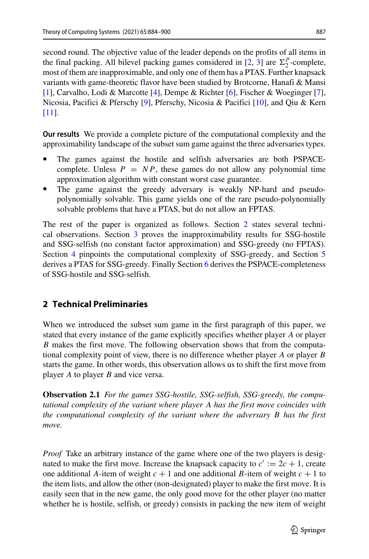second round. The objective value of the leader depends on the profits of all items in the final packing. All bilevel packing games considered in [\[2,](#page-16-1) [3\]](#page-16-2) are  $\Sigma_2^p$ -complete, most of them are inapproximable, and only one of them has a PTAS. Further knapsack variants with game-theoretic flavor have been studied by Brotcorne, Hanafi & Mansi [\[1\]](#page-16-3), Carvalho, Lodi & Marcotte [\[4\]](#page-16-4), Dempe & Richter [\[6\]](#page-16-5), Fischer & Woeginger [\[7\]](#page-16-6), Nicosia, Pacifici & Pferschy [\[9\]](#page-16-7), Pferschy, Nicosia & Pacifici [\[10\]](#page-16-8), and Qiu & Kern [\[11\]](#page-16-9).

**Our results** We provide a complete picture of the computational complexity and the approximability landscape of the subset sum game against the three adversaries types.

- The games against the hostile and selfish adversaries are both PSPACEcomplete. Unless  $P = NP$ , these games do not allow any polynomial time approximation algorithm with constant worst case guarantee.
- The game against the greedy adversary is weakly NP-hard and pseudopolynomially solvable. This game yields one of the rare pseudo-polynomially solvable problems that have a PTAS, but do not allow an FPTAS.

The rest of the paper is organized as follows. Section [2](#page-3-0) states several technical observations. Section [3](#page-5-0) proves the inapproximability results for SSG-hostile and SSG-selfish (no constant factor approximation) and SSG-greedy (no FPTAS). Section [4](#page-7-0) pinpoints the computational complexity of SSG-greedy, and Section [5](#page-9-0) derives a PTAS for SSG-greedy. Finally Section [6](#page-11-0) derives the PSPACE-completeness of SSG-hostile and SSG-selfish.

## <span id="page-3-0"></span>**2 Technical Preliminaries**

When we introduced the subset sum game in the first paragraph of this paper, we stated that every instance of the game explicitly specifies whether player *A* or player *B* makes the first move. The following observation shows that from the computational complexity point of view, there is no difference whether player *A* or player *B* starts the game. In other words, this observation allows us to shift the first move from player *A* to player *B* and vice versa.

**Observation 2.1** *For the games SSG-hostile, SSG-selfish, SSG-greedy, the computational complexity of the variant where player A has the first move coincides with the computational complexity of the variant where the adversary B has the first move.*

*Proof* Take an arbitrary instance of the game where one of the two players is designated to make the first move. Increase the knapsack capacity to  $c' := 2c + 1$ , create one additional A-item of weight  $c + 1$  and one additional B-item of weight  $c + 1$  to the item lists, and allow the other (non-designated) player to make the first move. It is easily seen that in the new game, the only good move for the other player (no matter whether he is hostile, selfish, or greedy) consists in packing the new item of weight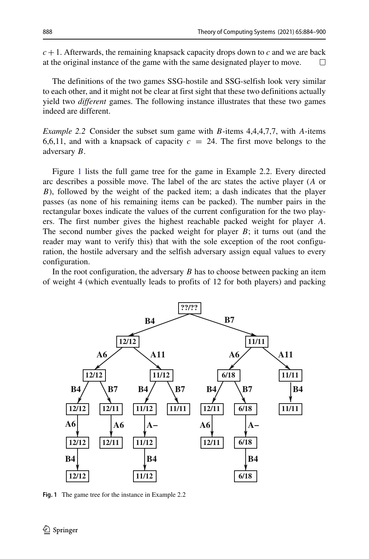$c + 1$ . Afterwards, the remaining knapsack capacity drops down to *c* and we are back at the original instance of the game with the same designated player to move. at the original instance of the game with the same designated player to move.

The definitions of the two games SSG-hostile and SSG-selfish look very similar to each other, and it might not be clear at first sight that these two definitions actually yield two *different* games. The following instance illustrates that these two games indeed are different.

*Example 2.2* Consider the subset sum game with *B*-items 4,4,4,7,7, with *A*-items 6,6,11, and with a knapsack of capacity  $c = 24$ . The first move belongs to the adversary *B*.

Figure [1](#page-4-0) lists the full game tree for the game in Example 2.2. Every directed arc describes a possible move. The label of the arc states the active player (*A* or *B*), followed by the weight of the packed item; a dash indicates that the player passes (as none of his remaining items can be packed). The number pairs in the rectangular boxes indicate the values of the current configuration for the two players. The first number gives the highest reachable packed weight for player *A*. The second number gives the packed weight for player *B*; it turns out (and the reader may want to verify this) that with the sole exception of the root configuration, the hostile adversary and the selfish adversary assign equal values to every configuration.

In the root configuration, the adversary  $B$  has to choose between packing an item of weight 4 (which eventually leads to profits of 12 for both players) and packing

<span id="page-4-0"></span>

**Fig. 1** The game tree for the instance in Example 2.2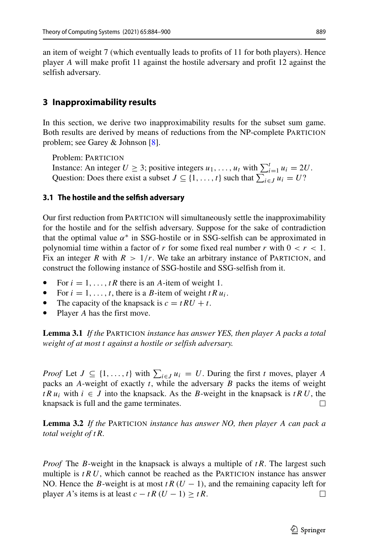an item of weight 7 (which eventually leads to profits of 11 for both players). Hence player *A* will make profit 11 against the hostile adversary and profit 12 against the selfish adversary.

## <span id="page-5-0"></span>**3 Inapproximability results**

In this section, we derive two inapproximability results for the subset sum game. Both results are derived by means of reductions from the NP-complete PARTICION problem; see Garey & Johnson [\[8\]](#page-16-10).

Problem: PARTICION Instance: An integer  $U \geq 3$ ; positive integers  $u_1, \ldots, u_t$  with  $\sum_{i=1}^t u_i = 2U$ . Question: Does there exist a subset  $J \subseteq \{1, ..., t\}$  such that  $\sum_{i \in J} u_i = U$ ?

#### **3.1 The hostile and the selfish adversary**

Our first reduction from PARTICION will simultaneously settle the inapproximability for the hostile and for the selfish adversary. Suppose for the sake of contradiction that the optimal value  $\alpha^*$  in SSG-hostile or in SSG-selfish can be approximated in polynomial time within a factor of *r* for some fixed real number *r* with  $0 < r < 1$ . Fix an integer *R* with  $R > 1/r$ . We take an arbitrary instance of PARTICION, and construct the following instance of SSG-hostile and SSG-selfish from it.

- For  $i = 1, \ldots, tR$  there is an *A*-item of weight 1.
- For  $i = 1, ..., t$ , there is a *B*-item of weight *tR u<sub>i</sub>*.<br>• The capacity of the knapsack is  $c = tRII + t$
- The capacity of the knapsack is  $c = tRU + t$ .
- Player *A* has the first move.

**Lemma 3.1** *If the* PARTICION *instance has answer YES, then player A packs a total weight of at most t against a hostile or selfish adversary.*

*Proof* Let  $J \subseteq \{1, ..., t\}$  with  $\sum_{i \in J} u_i = U$ . During the first *t* moves, player *A* packs an *A*-weight of exactly *t*, while the adversary *B* packs the items of weight *tR u<sub>i</sub>* with *i* ∈ *J* into the knapsack. As the *B*-weight in the knapsack is *tR U*, the knapsack is full and the game terminates. knapsack is full and the game terminates.

**Lemma 3.2** *If the* PARTICION *instance has answer NO, then player A can pack a total weight of tR.*

*Proof* The *B*-weight in the knapsack is always a multiple of *tR*. The largest such multiple is *tRU*, which cannot be reached as the PARTICION instance has answer NO. Hence the *B*-weight is at most  $tR (U - 1)$ , and the remaining capacity left for player *A*'s items is at least  $c - tR (U - 1) \geq tR$ . player *A*'s items is at least  $c - tR (U - 1) \geq tR$ .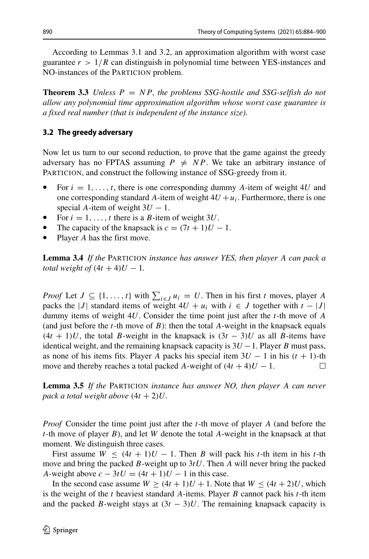According to Lemmas 3.1 and 3.2, an approximation algorithm with worst case guarantee  $r > 1/R$  can distinguish in polynomial time between YES-instances and NO-instances of the PARTICION problem.

**Theorem 3.3** *Unless*  $P = NP$ *, the problems SSG-hostile and SSG-selfish do not allow any polynomial time approximation algorithm whose worst case guarantee is a fixed real number (that is independent of the instance size).*

#### <span id="page-6-0"></span>**3.2 The greedy adversary**

Now let us turn to our second reduction, to prove that the game against the greedy adversary has no FPTAS assuming  $P \neq NP$ . We take an arbitrary instance of PARTICION, and construct the following instance of SSG-greedy from it.

- For  $i = 1, \ldots, t$ , there is one corresponding dummy *A*-item of weight 4*U* and one corresponding standard A-item of weight  $4U + u_i$ . Furthermore, there is one special *A*-item of weight  $3U - 1$ .
- For  $i = 1, ..., t$  there is a *B*-item of weight 3*U*.<br>• The capacity of the knapsack is  $c = (7t + 1)U$
- The capacity of the knapsack is  $c = (7t + 1)U 1$ .
- Player *A* has the first move.

**Lemma 3.4** *If the* PARTICION *instance has answer YES, then player A can pack a total weight of*  $(4t + 4)U - 1$ .

*Proof* Let  $J \subseteq \{1, ..., t\}$  with  $\sum_{i \in J} u_i = U$ . Then in his first *t* moves, player *A* packs the |*J*| standard items of weight  $4U + u_i$  with  $i \in J$  together with  $t - |J|$ dummy items of weight 4*U*. Consider the time point just after the *t*-th move of *A* (and just before the *t*-th move of *B*): then the total *A*-weight in the knapsack equals  $(4t + 1)U$ , the total *B*-weight in the knapsack is  $(3t - 3)U$  as all *B*-items have identical weight, and the remaining knapsack capacity is  $3U - 1$ . Player *B* must pass, as none of his items fits. Player *A* packs his special item  $3U - 1$  in his  $(t + 1)$ -th move and thereby reaches a total packed *A*-weight of  $(4t + 4)U - 1$ . move and thereby reaches a total packed *A*-weight of  $(4t + 4)U - 1$ .

**Lemma 3.5** *If the* PARTICION *instance has answer NO, then player A can never pack a total weight above*  $(4t + 2)U$ *.* 

*Proof* Consider the time point just after the *t*-th move of player *A* (and before the *t*-th move of player *B*), and let *W* denote the total *A*-weight in the knapsack at that moment. We distinguish three cases.

First assume  $W \leq (4t + 1)U - 1$ . Then *B* will pack his *t*-th item in his *t*-th move and bring the packed *B*-weight up to 3*tU*. Then *A* will never bring the packed *A*-weight above  $c - 3tU = (4t + 1)U - 1$  in this case.

In the second case assume  $W \ge (4t + 1)U + 1$ . Note that  $W \le (4t + 2)U$ , which is the weight of the *t* heaviest standard *A*-items. Player *B* cannot pack his *t*-th item and the packed *B*-weight stays at  $(3t - 3)U$ . The remaining knapsack capacity is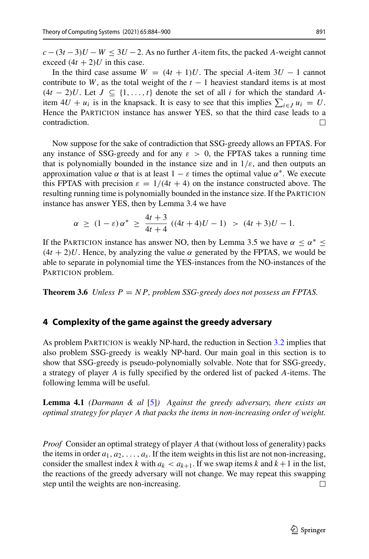$c - (3t - 3)U - W \leq 3U - 2$ . As no further *A*-item fits, the packed *A*-weight cannot exceed  $(4t + 2)U$  in this case.

In the third case assume  $W = (4t + 1)U$ . The special *A*-item 3*U* − 1 cannot contribute to *W*, as the total weight of the  $t - 1$  heaviest standard items is at most  $(4t − 2)U$ . Let  $J ⊆ \{1, ..., t\}$  denote the set of all *i* for which the standard *A*item  $4U + u_i$  is in the knapsack. It is easy to see that this implies  $\sum_{i \in J} u_i = U$ . Hence the PARTICION instance has answer YES, so that the third case leads to a contradiction.  $\Box$ 

Now suppose for the sake of contradiction that SSG-greedy allows an FPTAS. For any instance of SSG-greedy and for any  $\varepsilon > 0$ , the FPTAS takes a running time that is polynomially bounded in the instance size and in  $1/\varepsilon$ , and then outputs an approximation value  $\alpha$  that is at least  $1 - \varepsilon$  times the optimal value  $\alpha^*$ . We execute this FPTAS with precision  $\varepsilon = 1/(4t + 4)$  on the instance constructed above. The resulting running time is polynomially bounded in the instance size. If the PARTICION instance has answer YES, then by Lemma 3.4 we have

$$
\alpha \ge (1 - \varepsilon) \alpha^* \ge \frac{4t + 3}{4t + 4} ((4t + 4)U - 1) > (4t + 3)U - 1.
$$

If the PARTICION instance has answer NO, then by Lemma 3.5 we have  $\alpha \le \alpha^* \le$  $(4t + 2)U$ . Hence, by analyzing the value  $\alpha$  generated by the FPTAS, we would be able to separate in polynomial time the YES-instances from the NO-instances of the PARTICION problem.

**Theorem 3.6** *Unless*  $P = NP$ , *problem SSG-greedy does not possess an FPTAS.* 

#### <span id="page-7-0"></span>**4 Complexity of the game against the greedy adversary**

As problem PARTICION is weakly NP-hard, the reduction in Section [3.2](#page-6-0) implies that also problem SSG-greedy is weakly NP-hard. Our main goal in this section is to show that SSG-greedy is pseudo-polynomially solvable. Note that for SSG-greedy, a strategy of player *A* is fully specified by the ordered list of packed *A*-items. The following lemma will be useful.

**Lemma 4.1** *(Darmann & al* [\[5\]](#page-16-0)*) Against the greedy adversary, there exists an optimal strategy for player A that packs the items in non-increasing order of weight.*

*Proof* Consider an optimal strategy of player *A* that (without loss of generality) packs the items in order  $a_1, a_2, \ldots, a_s$ . If the item weights in this list are not non-increasing, consider the smallest index *k* with  $a_k < a_{k+1}$ . If we swap items *k* and  $k+1$  in the list, the reactions of the greedy adversary will not change. We may repeat this swapping step until the weights are non-increasing.  $\Box$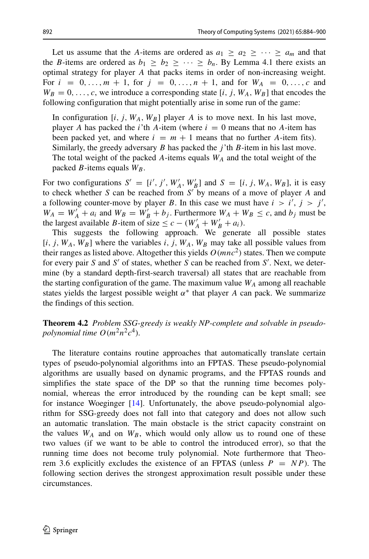Let us assume that the *A*-items are ordered as  $a_1 \ge a_2 \ge \cdots \ge a_m$  and that the *B*-items are ordered as  $b_1 \geq b_2 \geq \cdots \geq b_n$ . By Lemma 4.1 there exists an optimal strategy for player *A* that packs items in order of non-increasing weight. For  $i = 0, ..., m + 1$ , for  $j = 0, ..., n + 1$ , and for  $W_A = 0, ..., c$  and  $W_B = 0, \ldots, c$ , we introduce a corresponding state [*i, j, W<sub>A</sub>, W<sub>B</sub>*] that encodes the following configuration that might potentially arise in some run of the game:

In configuration  $[i, j, W_A, W_B]$  player *A* is to move next. In his last move, player *A* has packed the *i*'th *A*-item (where  $i = 0$  means that no *A*-item has been packed yet, and where  $i = m + 1$  means that no further *A*-item fits). Similarly, the greedy adversary *B* has packed the *j* 'th *B*-item in his last move. The total weight of the packed *A*-items equals *WA* and the total weight of the packed *B*-items equals  $W_B$ .

For two configurations  $S' = [i', j', W'_A, W'_B]$  and  $S = [i, j, W_A, W_B]$ , it is easy to check whether *S* can be reached from *S'* by means of a move of player *A* and a following counter-move by player *B*. In this case we must have  $i > i', j > j'$ ,  $W_A = W'_A + a_i$  and  $W_B = W'_B + b_j$ . Furthermore  $W_A + W_B \le c$ , and  $b_j$  must be the largest available *B*-item of size  $\leq c - (W'_A + W'_B + a_i)$ .

This suggests the following approach. We generate all possible states  $[i, j, W_A, W_B]$  where the variables  $i, j, W_A, W_B$  may take all possible values from their ranges as listed above. Altogether this yields  $O(mnc^2)$  states. Then we compute for every pair *S* and *S'* of states, whether *S* can be reached from *S'*. Next, we determine (by a standard depth-first-search traversal) all states that are reachable from the starting configuration of the game. The maximum value  $W_A$  among all reachable states yields the largest possible weight  $\alpha^*$  that player *A* can pack. We summarize the findings of this section.

**Theorem 4.2** *Problem SSG-greedy is weakly NP-complete and solvable in pseudopolynomial time*  $O(m^2n^2c^4)$ *.* 

The literature contains routine approaches that automatically translate certain types of pseudo-polynomial algorithms into an FPTAS. These pseudo-polynomial algorithms are usually based on dynamic programs, and the FPTAS rounds and simplifies the state space of the DP so that the running time becomes polynomial, whereas the error introduced by the rounding can be kept small; see for instance Woeginger [\[14\]](#page-16-11). Unfortunately, the above pseudo-polynomial algorithm for SSG-greedy does not fall into that category and does not allow such an automatic translation. The main obstacle is the strict capacity constraint on the values  $W_A$  and on  $W_B$ , which would only allow us to round one of these two values (if we want to be able to control the introduced error), so that the running time does not become truly polynomial. Note furthermore that Theorem 3.6 explicitly excludes the existence of an FPTAS (unless  $P = NP$ ). The following section derives the strongest approximation result possible under these circumstances.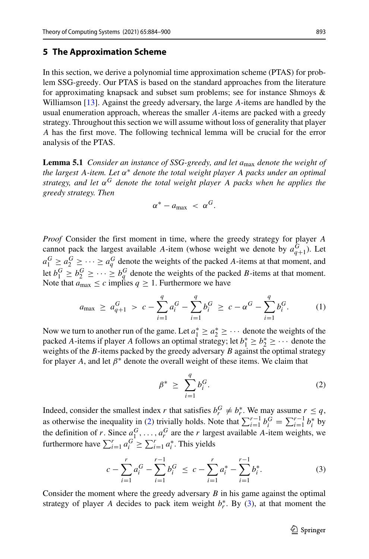#### <span id="page-9-0"></span>**5 The Approximation Scheme**

In this section, we derive a polynomial time approximation scheme (PTAS) for problem SSG-greedy. Our PTAS is based on the standard approaches from the literature for approximating knapsack and subset sum problems; see for instance Shmoys & Williamson [\[13\]](#page-16-12). Against the greedy adversary, the large *A*-items are handled by the usual enumeration approach, whereas the smaller *A*-items are packed with a greedy strategy. Throughout this section we will assume without loss of generality that player *A* has the first move. The following technical lemma will be crucial for the error analysis of the PTAS.

**Lemma 5.1** *Consider an instance of SSG-greedy, and let a*max *denote the weight of the largest A-item. Let α*∗ *denote the total weight player A packs under an optimal strategy, and let α<sup>G</sup> denote the total weight player A packs when he applies the greedy strategy. Then*

$$
\alpha^* - a_{\max} < \alpha^G.
$$

*Proof* Consider the first moment in time, where the greedy strategy for player *A* cannot pack the largest available *A*-item (whose weight we denote by  $a_{q+1}^G$ ). Let  $a_1^G \ge a_2^G \ge \cdots \ge a_q^G$  denote the weights of the packed *A*-items at that moment, and let  $b_1^G \ge b_2^G \ge \cdots \ge b_q^G$  denote the weights of the packed *B*-items at that moment. Note that  $a_{\text{max}} \leq c$  implies  $q \geq 1$ . Furthermore we have

<span id="page-9-3"></span>
$$
a_{\max} \ge a_{q+1}^G > c - \sum_{i=1}^q a_i^G - \sum_{i=1}^q b_i^G \ge c - \alpha^G - \sum_{i=1}^q b_i^G. \tag{1}
$$

Now we turn to another run of the game. Let  $a_1^* \ge a_2^* \ge \cdots$  denote the weights of the packed *A*-items if player *A* follows an optimal strategy; let  $b_1^* \geq b_2^* \geq \cdots$  denote the weights of the *B*-items packed by the greedy adversary *B* against the optimal strategy for player *A*, and let  $\beta^*$  denote the overall weight of these items. We claim that

<span id="page-9-1"></span>
$$
\beta^* \ge \sum_{i=1}^q b_i^G. \tag{2}
$$

Indeed, consider the smallest index *r* that satisfies  $b_r^G \neq b_r^*$ . We may assume  $r \leq q$ , as otherwise the inequality in [\(2\)](#page-9-1) trivially holds. Note that  $\sum_{i=1}^{r-1} b_i^G = \sum_{i=1}^{r-1} b_i^*$  by the definition of *r*. Since  $a_1^G, \ldots, a_r^G$  are the *r* largest available *A*-item weights, we furthermore have  $\sum_{i=1}^{r} a_i^G \ge \sum_{i=1}^{r} a_i^*$ . This yields

<span id="page-9-2"></span>
$$
c - \sum_{i=1}^{r} a_i^G - \sum_{i=1}^{r-1} b_i^G \le c - \sum_{i=1}^{r} a_i^* - \sum_{i=1}^{r-1} b_i^*.
$$
 (3)

Consider the moment where the greedy adversary *B* in his game against the optimal strategy of player *A* decides to pack item weight  $b_r^*$ . By [\(3\)](#page-9-2), at that moment the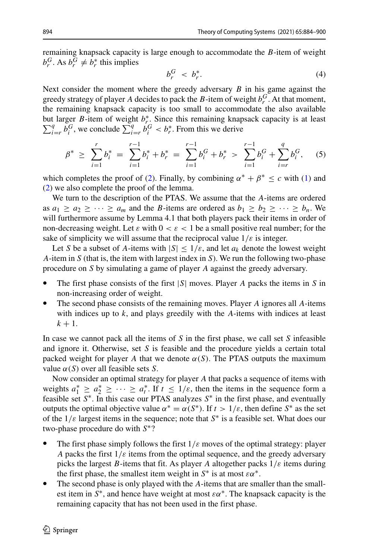remaining knapsack capacity is large enough to accommodate the *B*-item of weight  $b_r^G$ . As  $b_r^G \neq b_r^*$  this implies

$$
b_r^G < b_r^*.\tag{4}
$$

Next consider the moment where the greedy adversary *B* in his game against the greedy strategy of player *A* decides to pack the *B*-item of weight  $b_r^G$ . At that moment, the remaining knapsack capacity is too small to accommodate the also available but larger *B*-item of weight *b*∗ . Since this remaining knapsack capacity is at least  $\sum_{i=r}^{q} b_i^G$ , we conclude  $\sum_{i=r}^{q} b_i^G < b_r^*$ . From this we derive

$$
\beta^* \ge \sum_{i=1}^r b_i^* = \sum_{i=1}^{r-1} b_i^* + b_r^* = \sum_{i=1}^{r-1} b_i^G + b_r^* > \sum_{i=1}^{r-1} b_i^G + \sum_{i=r}^q b_i^G, \quad (5)
$$

which completes the proof of [\(2\)](#page-9-1). Finally, by combining  $\alpha^* + \beta^* \leq c$  with [\(1\)](#page-9-3) and [\(2\)](#page-9-1) we also complete the proof of the lemma.

We turn to the description of the PTAS. We assume that the *A*-items are ordered as  $a_1 \ge a_2 \ge \cdots \ge a_m$  and the *B*-items are ordered as  $b_1 \ge b_2 \ge \cdots \ge b_n$ . We will furthermore assume by Lemma 4.1 that both players pack their items in order of non-decreasing weight. Let  $\varepsilon$  with  $0 < \varepsilon < 1$  be a small positive real number; for the sake of simplicity we will assume that the reciprocal value  $1/\varepsilon$  is integer.

Let *S* be a subset of *A*-items with  $|S| \leq 1/\varepsilon$ , and let  $a_k$  denote the lowest weight *A*-item in *S* (that is, the item with largest index in *S*). We run the following two-phase procedure on *S* by simulating a game of player *A* against the greedy adversary.

- The first phase consists of the first |*S*| moves. Player *A* packs the items in *S* in non-increasing order of weight.
- The second phase consists of the remaining moves. Player *A* ignores all *A*-items with indices up to *k*, and plays greedily with the *A*-items with indices at least  $k + 1$ .

In case we cannot pack all the items of *S* in the first phase, we call set *S* infeasible and ignore it. Otherwise, set *S* is feasible and the procedure yields a certain total packed weight for player *A* that we denote  $\alpha(S)$ . The PTAS outputs the maximum value *α(S)* over all feasible sets *S*.

Now consider an optimal strategy for player *A* that packs a sequence of items with weights  $a_1^* \ge a_2^* \ge \cdots \ge a_t^*$ . If  $t \le 1/\varepsilon$ , then the items in the sequence form a feasible set  $S^*$ . In this case our PTAS analyzes  $S^*$  in the first phase, and eventually outputs the optimal objective value  $α^* = α(S^*)$ . If  $t > 1/\varepsilon$ , then define  $S^*$  as the set of the  $1/\varepsilon$  largest items in the sequence; note that  $S^*$  is a feasible set. What does our two-phase procedure do with *S*∗?

- The first phase simply follows the first  $1/\varepsilon$  moves of the optimal strategy: player *A* packs the first  $1/\varepsilon$  items from the optimal sequence, and the greedy adversary picks the largest *B*-items that fit. As player *A* altogether packs 1*/ε* items during the first phase, the smallest item weight in  $S^*$  is at most  $\varepsilon \alpha^*$ .
- The second phase is only played with the *A*-items that are smaller than the smallest item in  $S^*$ , and hence have weight at most  $\varepsilon \alpha^*$ . The knapsack capacity is the remaining capacity that has not been used in the first phase.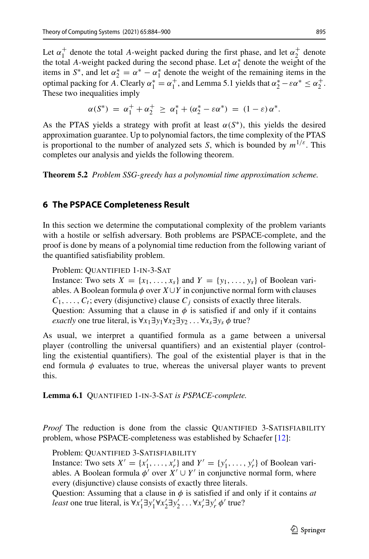Let  $\alpha_1^+$  denote the total *A*-weight packed during the first phase, and let  $\alpha_2^+$  denote the total *A*-weight packed during the second phase. Let  $\alpha_1^*$  denote the weight of the items in  $S^*$ , and let  $\alpha_2^* = \alpha^* - \alpha_1^*$  denote the weight of the remaining items in the optimal packing for *A*. Clearly  $\alpha_1^* = \alpha_1^+$ , and Lemma 5.1 yields that  $\alpha_2^* - \varepsilon \alpha^* \le \alpha_2^+$ . These two inequalities imply

$$
\alpha(S^*) = \alpha_1^+ + \alpha_2^+ \ge \alpha_1^* + (\alpha_2^* - \varepsilon \alpha^*) = (1 - \varepsilon) \alpha^*.
$$

As the PTAS yields a strategy with profit at least  $\alpha(S^*)$ , this yields the desired approximation guarantee. Up to polynomial factors, the time complexity of the PTAS is proportional to the number of analyzed sets *S*, which is bounded by  $m^{1/\varepsilon}$ . This completes our analysis and yields the following theorem.

**Theorem 5.2** *Problem SSG-greedy has a polynomial time approximation scheme.*

#### <span id="page-11-0"></span>**6 The PSPACE Completeness Result**

In this section we determine the computational complexity of the problem variants with a hostile or selfish adversary. Both problems are PSPACE-complete, and the proof is done by means of a polynomial time reduction from the following variant of the quantified satisfiability problem.

Problem: QUANTIFIED 1-IN-3-SAT

Instance: Two sets  $X = \{x_1, \ldots, x_s\}$  and  $Y = \{y_1, \ldots, y_s\}$  of Boolean variables. A Boolean formula  $\phi$  over  $X \cup Y$  in conjunctive normal form with clauses  $C_1, \ldots, C_t$ ; every (disjunctive) clause  $C_i$  consists of exactly three literals. Question: Assuming that a clause in  $\phi$  is satisfied if and only if it contains *exactly* one true literal, is  $\forall x_1 \exists y_1 \forall x_2 \exists y_2 \dots \forall x_s \exists y_s \phi$  true?

As usual, we interpret a quantified formula as a game between a universal player (controlling the universal quantifiers) and an existential player (controlling the existential quantifiers). The goal of the existential player is that in the end formula  $\phi$  evaluates to true, whereas the universal player wants to prevent this.

**Lemma 6.1** QUANTIFIED 1-IN-3-SAT *is PSPACE-complete.*

*Proof* The reduction is done from the classic QUANTIFIED 3-SATISFIABILITY problem, whose PSPACE-completeness was established by Schaefer [\[12\]](#page-16-13):

Problem: QUANTIFIED 3-SATISFIABILITY

Instance: Two sets  $X' = \{x'_1, \ldots, x'_r\}$  and  $Y' = \{y'_1, \ldots, y'_r\}$  of Boolean variables. A Boolean formula  $\phi'$  over  $X' \cup Y'$  in conjunctive normal form, where every (disjunctive) clause consists of exactly three literals.

Question: Assuming that a clause in  $\phi$  is satisfied if and only if it contains *at least* one true literal, is  $\forall x'_1 \exists y'_1 \forall x'_2 \exists y'_2 \dots \forall x'_r \exists y'_r \phi'$  true?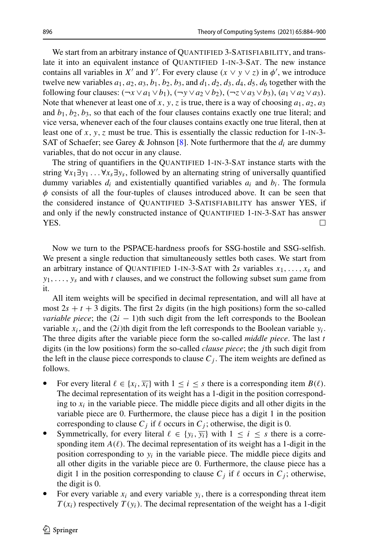We start from an arbitrary instance of QUANTIFIED 3-SATISFIABILITY, and translate it into an equivalent instance of QUANTIFIED 1-IN-3-SAT. The new instance contains all variables in *X'* and *Y'*. For every clause  $(x \lor y \lor z)$  in  $\phi'$ , we introduce twelve new variables  $a_1$ ,  $a_2$ ,  $a_3$ ,  $b_1$ ,  $b_2$ ,  $b_3$ , and  $d_1$ ,  $d_2$ ,  $d_3$ ,  $d_4$ ,  $d_5$ ,  $d_6$  together with the following four clauses:  $(\neg x \lor a_1 \lor b_1)$ ,  $(\neg y \lor a_2 \lor b_2)$ ,  $(\neg z \lor a_3 \lor b_3)$ ,  $(a_1 \lor a_2 \lor a_3)$ . Note that whenever at least one of *x*, *y*, *z* is true, there is a way of choosing  $a_1$ ,  $a_2$ ,  $a_3$ and  $b_1, b_2, b_3$ , so that each of the four clauses contains exactly one true literal; and vice versa, whenever each of the four clauses contains exactly one true literal, then at least one of *x, y,z* must be true. This is essentially the classic reduction for 1-IN-3- SAT of Schaefer; see Garey & Johnson  $[8]$ . Note furthermore that the  $d_i$  are dummy variables, that do not occur in any clause.

The string of quantifiers in the QUANTIFIED 1-IN-3-SAT instance starts with the string ∀*x*1∃*y*<sup>1</sup> *...* ∀*xs*∃*ys*, followed by an alternating string of universally quantified dummy variables  $d_i$  and existentially quantified variables  $a_i$  and  $b_i$ . The formula *φ* consists of all the four-tuples of clauses introduced above. It can be seen that the considered instance of QUANTIFIED 3-SATISFIABILITY has answer YES, if and only if the newly constructed instance of QUANTIFIED 1-IN-3-SAT has answer YES.  $\Box$ 

Now we turn to the PSPACE-hardness proofs for SSG-hostile and SSG-selfish. We present a single reduction that simultaneously settles both cases. We start from an arbitrary instance of QUANTIFIED 1-IN-3-SAT with 2*s* variables  $x_1, \ldots, x_s$  and *y*1*,...,ys* and with *t* clauses, and we construct the following subset sum game from it.

All item weights will be specified in decimal representation, and will all have at most  $2s + t + 3$  digits. The first  $2s$  digits (in the high positions) form the so-called *variable piece*; the  $(2i - 1)$ th such digit from the left corresponds to the Boolean variable  $x_i$ , and the  $(2i)$ th digit from the left corresponds to the Boolean variable  $y_i$ . The three digits after the variable piece form the so-called *middle piece*. The last *t* digits (in the low positions) form the so-called *clause piece*; the *j* th such digit from the left in the clause piece corresponds to clause  $C_j$ . The item weights are defined as follows.

- For every literal  $\ell \in \{x_i, \overline{x_i}\}$  with  $1 \leq i \leq s$  there is a corresponding item  $B(\ell)$ . The decimal representation of its weight has a 1-digit in the position corresponding to  $x_i$  in the variable piece. The middle piece digits and all other digits in the variable piece are 0. Furthermore, the clause piece has a digit 1 in the position corresponding to clause  $C_i$  if  $\ell$  occurs in  $C_i$ ; otherwise, the digit is 0.
- Symmetrically, for every literal  $\ell \in \{y_i, \overline{y_i}\}\$  with  $1 \leq i \leq s$  there is a corresponding item  $A(\ell)$ . The decimal representation of its weight has a 1-digit in the position corresponding to  $y_i$  in the variable piece. The middle piece digits and all other digits in the variable piece are 0. Furthermore, the clause piece has a digit 1 in the position corresponding to clause  $C_i$  if  $\ell$  occurs in  $C_i$ ; otherwise, the digit is 0.
- For every variable  $x_i$  and every variable  $y_i$ , there is a corresponding threat item  $T(x_i)$  respectively  $T(y_i)$ . The decimal representation of the weight has a 1-digit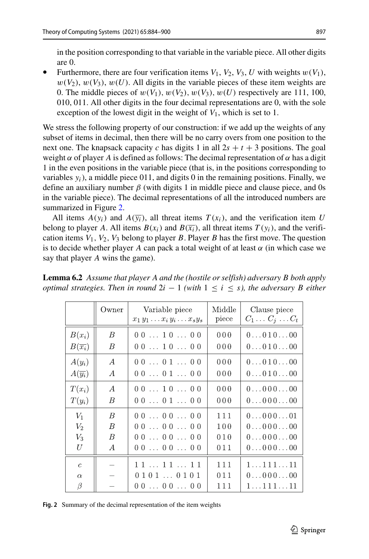in the position corresponding to that variable in the variable piece. All other digits are 0.

• Furthermore, there are four verification items  $V_1$ ,  $V_2$ ,  $V_3$ ,  $U$  with weights  $w(V_1)$ ,  $w(V_2)$ ,  $w(V_3)$ ,  $w(U)$ . All digits in the variable pieces of these item weights are 0. The middle pieces of  $w(V_1)$ ,  $w(V_2)$ ,  $w(V_3)$ ,  $w(U)$  respectively are 111, 100, 010, 011. All other digits in the four decimal representations are 0, with the sole exception of the lowest digit in the weight of *V*1, which is set to 1.

We stress the following property of our construction: if we add up the weights of any subset of items in decimal, then there will be no carry overs from one position to the next one. The knapsack capacity *c* has digits 1 in all  $2s + t + 3$  positions. The goal weight *α* of player *A* is defined as follows: The decimal representation of *α* has a digit 1 in the even positions in the variable piece (that is, in the positions corresponding to variables  $y_i$ ), a middle piece 011, and digits 0 in the remaining positions. Finally, we define an auxiliary number *β* (with digits 1 in middle piece and clause piece, and 0s in the variable piece). The decimal representations of all the introduced numbers are summarized in Figure [2.](#page-13-0)

All items  $A(y_i)$  and  $A(\overline{y_i})$ , all threat items  $T(x_i)$ , and the verification item U belong to player A. All items  $B(x_i)$  and  $B(\overline{x_i})$ , all threat items  $T(y_i)$ , and the verification items  $V_1$ ,  $V_2$ ,  $V_3$  belong to player *B*. Player *B* has the first move. The question is to decide whether player *A* can pack a total weight of at least  $\alpha$  (in which case we say that player *A* wins the game).

<span id="page-13-0"></span>

|                     | Owner            | Variable piece<br>$x_1 y_1 \ldots x_i y_i \ldots x_s y_s$ | Middle<br>piece | Clause piece<br>$C_1 \ldots C_i \ldots C_t$ |
|---------------------|------------------|-----------------------------------------------------------|-----------------|---------------------------------------------|
| $B(x_i)$            | B                | 001000                                                    | 000             | 001000                                      |
| $B(\overline{x_i})$ | В                | 001000                                                    | 000             | 001000                                      |
| $A(y_i)$            | $\overline{A}$   | 0.00.10.0                                                 | 000             | 001000                                      |
| $A(\overline{y_i})$ | $\overline{A}$   | 000100                                                    | 000             | 001000                                      |
| $T(x_i)$            | $\boldsymbol{A}$ | 001000                                                    | 000             | 000000                                      |
| $T(y_i)$            | В                | 000100                                                    | 000             | 000000                                      |
| $V_1$               | B                | 0.00.00.0                                                 | 111             | 000001                                      |
| $V_2$               | B                | 000000                                                    | 100             | 000000                                      |
| $V_3$               | B                | 000000                                                    | 010             | 000000                                      |
| U                   | А                | 000000                                                    | 011             | $0 \dots 000 \dots 00$                      |
| $\overline{c}$      |                  | 111111                                                    | 111             | 111111                                      |
| $\alpha$            |                  | 01010101                                                  | 011             | 000000                                      |
| β                   |                  | 000000                                                    | 111             | $1 \ldots 111 \ldots 11$                    |

**Lemma 6.2** *Assume that player A and the (hostile or selfish) adversary B both apply optimal strategies. Then in round*  $2i - 1$  *(with*  $1 \leq i \leq s$ *), the adversary B either* 

**Fig. 2** Summary of the decimal representation of the item weights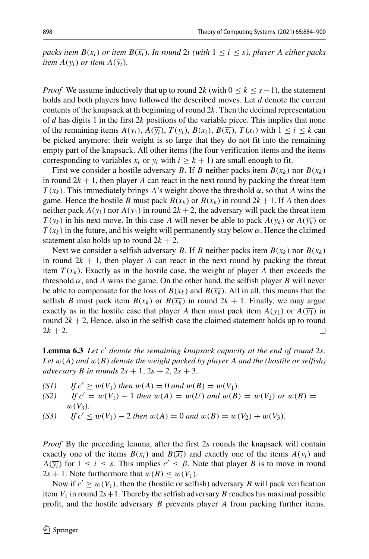*packs item*  $B(x_i)$  *or item*  $B(\overline{x_i})$ *. In round* 2*i* (with  $1 \leq i \leq s$ ), player A either packs *item*  $A(y_i)$  *or item*  $A(\overline{y_i})$ *.* 

*Proof* We assume inductively that up to round 2*k* (with  $0 \le k \le s - 1$ ), the statement holds and both players have followed the described moves. Let *d* denote the current contents of the knapsack at th beginning of round 2*k*. Then the decimal representation of *d* has digits 1 in the first 2*k* positions of the variable piece. This implies that none of the remaining items  $A(y_i)$ ,  $A(\overline{y_i})$ ,  $T(y_i)$ ,  $B(x_i)$ ,  $B(\overline{x_i})$ ,  $T(x_i)$  with  $1 \le i \le k$  can be picked anymore: their weight is so large that they do not fit into the remaining empty part of the knapsack. All other items (the four verification items and the items corresponding to variables  $x_i$  or  $y_i$  with  $i \geq k + 1$ ) are small enough to fit.

First we consider a hostile adversary *B*. If *B* neither packs item  $B(x_k)$  nor  $B(\overline{x_k})$ in round  $2k + 1$ , then player *A* can react in the next round by packing the threat item  $T(x_k)$ . This immediately brings *A*'s weight above the threshold  $\alpha$ , so that *A* wins the game. Hence the hostile *B* must pack  $B(x_k)$  or  $B(\overline{x_k})$  in round  $2k + 1$ . If *A* then does neither pack  $A(y_1)$  nor  $A(\overline{y_1})$  in round  $2k + 2$ , the adversary will pack the threat item  $T(y_k)$  in his next move. In this case *A* will never be able to pack  $A(y_k)$  or  $A(\overline{y_k})$  or *T (xk)* in the future, and his weight will permanently stay below *α*. Hence the claimed statement also holds up to round  $2k + 2$ .

Next we consider a selfish adversary *B*. If *B* neither packs item  $B(x_k)$  nor  $B(\overline{x_k})$ in round  $2k + 1$ , then player *A* can react in the next round by packing the threat item  $T(x_k)$ . Exactly as in the hostile case, the weight of player *A* then exceeds the threshold  $\alpha$ , and  $A$  wins the game. On the other hand, the selfish player  $B$  will never be able to compensate for the loss of  $B(x_k)$  and  $B(\overline{x_k})$ . All in all, this means that the selfish *B* must pack item  $B(x_k)$  or  $B(\overline{x_k})$  in round  $2k + 1$ . Finally, we may argue exactly as in the hostile case that player *A* then must pack item  $A(y_1)$  or  $A(\overline{y_1})$  in round  $2k + 2$ , Hence, also in the selfish case the claimed statement holds up to round  $2k + 2$ .  $2k + 2$ .

**Lemma 6.3** *Let c denote the remaining knapsack capacity at the end of round* 2*s. Let w(A) and w(B) denote the weight packed by player A and the (hostile or selfish) adversary B in rounds*  $2s + 1$ ,  $2s + 2$ ,  $2s + 3$ .

*(S1) If*  $c' \geq w(V_1)$  *then*  $w(A) = 0$  *and*  $w(B) = w(V_1)$ *.* 

(S2) If 
$$
c' = w(V_1) - 1
$$
 then  $w(A) = w(U)$  and  $w(B) = w(V_2)$  or  $w(B) = w(V_3)$ .

(S3) If 
$$
c' \le w(V_1) - 2
$$
 then  $w(A) = 0$  and  $w(B) = w(V_2) + w(V_3)$ .

*Proof* By the preceding lemma, after the first 2*s* rounds the knapsack will contain exactly one of the items  $B(x_i)$  and  $B(\overline{x_i})$  and exactly one of the items  $A(y_i)$  and *A*( $\overline{y_i}$ ) for  $1 \le i \le s$ . This implies  $c' \le \beta$ . Note that player *B* is to move in round 2*s* + 1. Note furthermore that  $w(B) \leq w(V_1)$ .

Now if  $c' \geq w(V_1)$ , then the (hostile or selfish) adversary *B* will pack verification item  $V_1$  in round  $2s+1$ . Thereby the selfish adversary *B* reaches his maximal possible profit, and the hostile adversary *B* prevents player *A* from packing further items.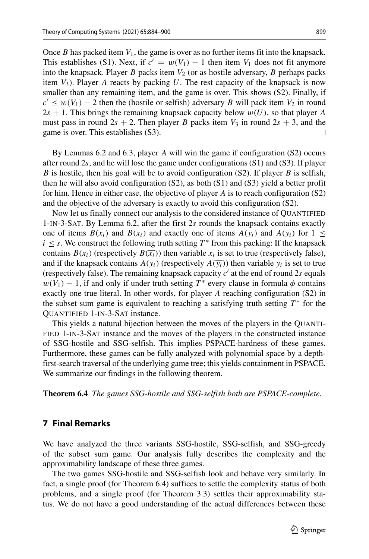Once  $B$  has packed item  $V_1$ , the game is over as no further items fit into the knapsack. This establishes (S1). Next, if  $c' = w(V_1) - 1$  then item  $V_1$  does not fit anymore into the knapsack. Player *B* packs item  $V_2$  (or as hostile adversary, *B* perhaps packs item *V*3). Player *A* reacts by packing *U*. The rest capacity of the knapsack is now smaller than any remaining item, and the game is over. This shows (S2). Finally, if  $c' \leq w(V_1) - 2$  then the (hostile or selfish) adversary *B* will pack item  $V_2$  in round  $2s + 1$ . This brings the remaining knapsack capacity below  $w(U)$ , so that player A must pass in round  $2s + 2$ . Then player *B* packs item  $V_3$  in round  $2s + 3$ , and the game is over. This establishes (S3). game is over. This establishes (S3).

By Lemmas 6.2 and 6.3, player *A* will win the game if configuration (S2) occurs after round 2*s*, and he will lose the game under configurations (S1) and (S3). If player *B* is hostile, then his goal will be to avoid configuration (S2). If player *B* is selfish, then he will also avoid configuration (S2), as both (S1) and (S3) yield a better profit for him. Hence in either case, the objective of player *A* is to reach configuration (S2) and the objective of the adversary is exactly to avoid this configuration (S2).

Now let us finally connect our analysis to the considered instance of QUANTIFIED 1-IN-3-SAT. By Lemma 6.2, after the first 2*s* rounds the knapsack contains exactly one of items  $B(x_i)$  and  $B(\overline{x_i})$  and exactly one of items  $A(y_i)$  and  $A(\overline{y_i})$  for  $1 \leq$  $i \leq s$ . We construct the following truth setting  $T^*$  from this packing: If the knapsack contains  $B(x_i)$  (respectively  $B(\overline{x_i})$ ) then variable  $x_i$  is set to true (respectively false), and if the knapsack contains  $A(y_i)$  (respectively  $A(\overline{y_i})$ ) then variable  $y_i$  is set to true (respectively false). The remaining knapsack capacity  $c'$  at the end of round 2*s* equals  $w(V_1) - 1$ , if and only if under truth setting  $T^*$  every clause in formula  $\phi$  contains exactly one true literal. In other words, for player *A* reaching configuration (S2) in the subset sum game is equivalent to reaching a satisfying truth setting  $T^*$  for the QUANTIFIED 1-IN-3-SAT instance.

This yields a natural bijection between the moves of the players in the QUANTI-FIED 1-IN-3-SAT instance and the moves of the players in the constructed instance of SSG-hostile and SSG-selfish. This implies PSPACE-hardness of these games. Furthermore, these games can be fully analyzed with polynomial space by a depthfirst-search traversal of the underlying game tree; this yields containment in PSPACE. We summarize our findings in the following theorem.

**Theorem 6.4** *The games SSG-hostile and SSG-selfish both are PSPACE-complete.*

#### **7 Final Remarks**

We have analyzed the three variants SSG-hostile, SSG-selfish, and SSG-greedy of the subset sum game. Our analysis fully describes the complexity and the approximability landscape of these three games.

The two games SSG-hostile and SSG-selfish look and behave very similarly. In fact, a single proof (for Theorem 6.4) suffices to settle the complexity status of both problems, and a single proof (for Theorem 3.3) settles their approximability status. We do not have a good understanding of the actual differences between these